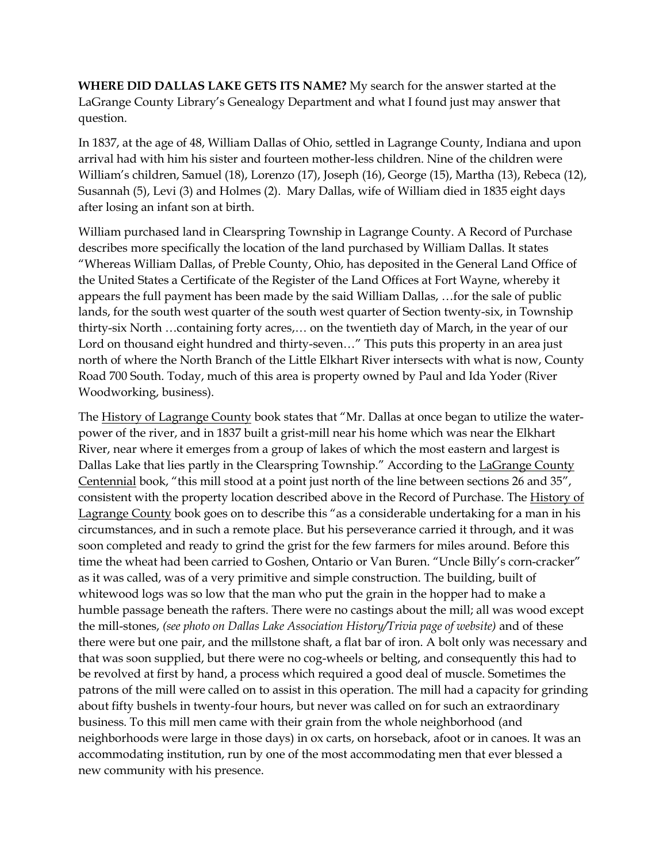**WHERE DID DALLAS LAKE GETS ITS NAME?** My search for the answer started at the LaGrange County Library's Genealogy Department and what I found just may answer that question.

In 1837, at the age of 48, William Dallas of Ohio, settled in Lagrange County, Indiana and upon arrival had with him his sister and fourteen mother-less children. Nine of the children were William's children, Samuel (18), Lorenzo (17), Joseph (16), George (15), Martha (13), Rebeca (12), Susannah (5), Levi (3) and Holmes (2). Mary Dallas, wife of William died in 1835 eight days after losing an infant son at birth.

William purchased land in Clearspring Township in Lagrange County. A Record of Purchase describes more specifically the location of the land purchased by William Dallas. It states "Whereas William Dallas, of Preble County, Ohio, has deposited in the General Land Office of the United States a Certificate of the Register of the Land Offices at Fort Wayne, whereby it appears the full payment has been made by the said William Dallas, …for the sale of public lands, for the south west quarter of the south west quarter of Section twenty-six, in Township thirty-six North …containing forty acres,… on the twentieth day of March, in the year of our Lord on thousand eight hundred and thirty-seven…" This puts this property in an area just north of where the North Branch of the Little Elkhart River intersects with what is now, County Road 700 South. Today, much of this area is property owned by Paul and Ida Yoder (River Woodworking, business).

The History of Lagrange County book states that "Mr. Dallas at once began to utilize the waterpower of the river, and in 1837 built a grist-mill near his home which was near the Elkhart River, near where it emerges from a group of lakes of which the most eastern and largest is Dallas Lake that lies partly in the Clearspring Township." According to the LaGrange County Centennial book, "this mill stood at a point just north of the line between sections 26 and 35", consistent with the property location described above in the Record of Purchase. The History of Lagrange County book goes on to describe this "as a considerable undertaking for a man in his circumstances, and in such a remote place. But his perseverance carried it through, and it was soon completed and ready to grind the grist for the few farmers for miles around. Before this time the wheat had been carried to Goshen, Ontario or Van Buren. "Uncle Billy's corn-cracker" as it was called, was of a very primitive and simple construction. The building, built of whitewood logs was so low that the man who put the grain in the hopper had to make a humble passage beneath the rafters. There were no castings about the mill; all was wood except the mill-stones, *(see photo on Dallas Lake Association History/Trivia page of website)* and of these there were but one pair, and the millstone shaft, a flat bar of iron. A bolt only was necessary and that was soon supplied, but there were no cog-wheels or belting, and consequently this had to be revolved at first by hand, a process which required a good deal of muscle. Sometimes the patrons of the mill were called on to assist in this operation. The mill had a capacity for grinding about fifty bushels in twenty-four hours, but never was called on for such an extraordinary business. To this mill men came with their grain from the whole neighborhood (and neighborhoods were large in those days) in ox carts, on horseback, afoot or in canoes. It was an accommodating institution, run by one of the most accommodating men that ever blessed a new community with his presence.